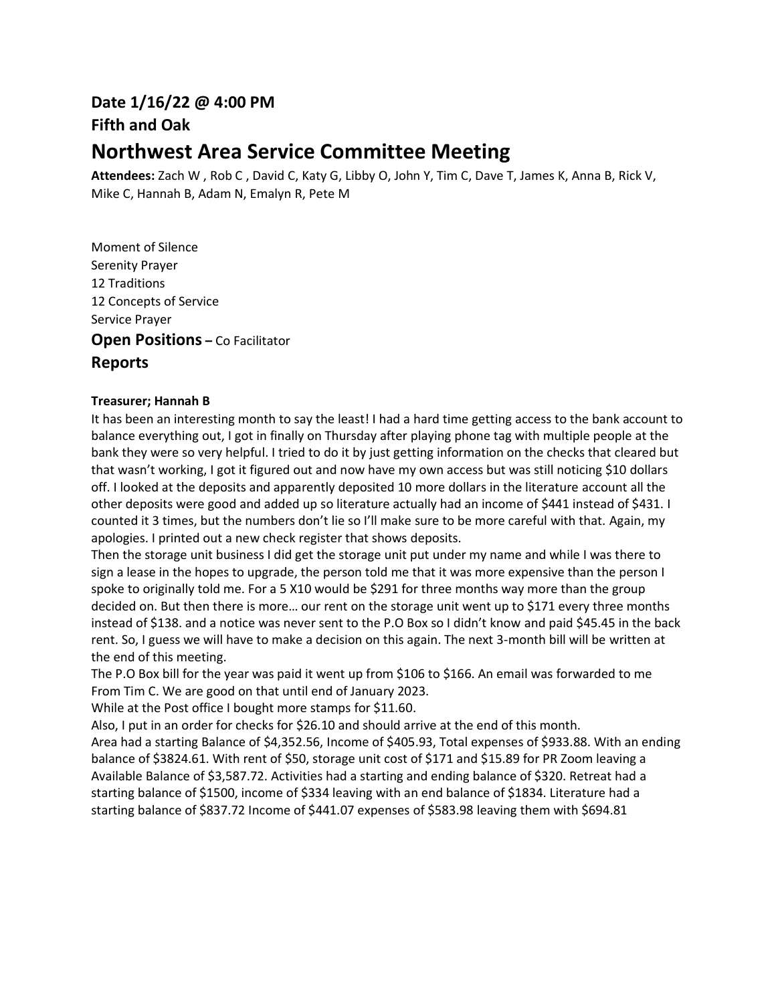# **Date 1/16/22 @ 4:00 PM Fifth and Oak**

# **Northwest Area Service Committee Meeting**

**Attendees:** Zach W , Rob C , David C, Katy G, Libby O, John Y, Tim C, Dave T, James K, Anna B, Rick V, Mike C, Hannah B, Adam N, Emalyn R, Pete M

Moment of Silence Serenity Prayer 12 Traditions 12 Concepts of Service Service Prayer **Open Positions –** Co Facilitator **Reports**

### **Treasurer; Hannah B**

It has been an interesting month to say the least! I had a hard time getting access to the bank account to balance everything out, I got in finally on Thursday after playing phone tag with multiple people at the bank they were so very helpful. I tried to do it by just getting information on the checks that cleared but that wasn't working, I got it figured out and now have my own access but was still noticing \$10 dollars off. I looked at the deposits and apparently deposited 10 more dollars in the literature account all the other deposits were good and added up so literature actually had an income of \$441 instead of \$431. I counted it 3 times, but the numbers don't lie so I'll make sure to be more careful with that. Again, my apologies. I printed out a new check register that shows deposits.

Then the storage unit business I did get the storage unit put under my name and while I was there to sign a lease in the hopes to upgrade, the person told me that it was more expensive than the person I spoke to originally told me. For a 5 X10 would be \$291 for three months way more than the group decided on. But then there is more… our rent on the storage unit went up to \$171 every three months instead of \$138. and a notice was never sent to the P.O Box so I didn't know and paid \$45.45 in the back rent. So, I guess we will have to make a decision on this again. The next 3-month bill will be written at the end of this meeting.

The P.O Box bill for the year was paid it went up from \$106 to \$166. An email was forwarded to me From Tim C. We are good on that until end of January 2023.

While at the Post office I bought more stamps for \$11.60.

Also, I put in an order for checks for \$26.10 and should arrive at the end of this month.

Area had a starting Balance of \$4,352.56, Income of \$405.93, Total expenses of \$933.88. With an ending balance of \$3824.61. With rent of \$50, storage unit cost of \$171 and \$15.89 for PR Zoom leaving a Available Balance of \$3,587.72. Activities had a starting and ending balance of \$320. Retreat had a starting balance of \$1500, income of \$334 leaving with an end balance of \$1834. Literature had a starting balance of \$837.72 Income of \$441.07 expenses of \$583.98 leaving them with \$694.81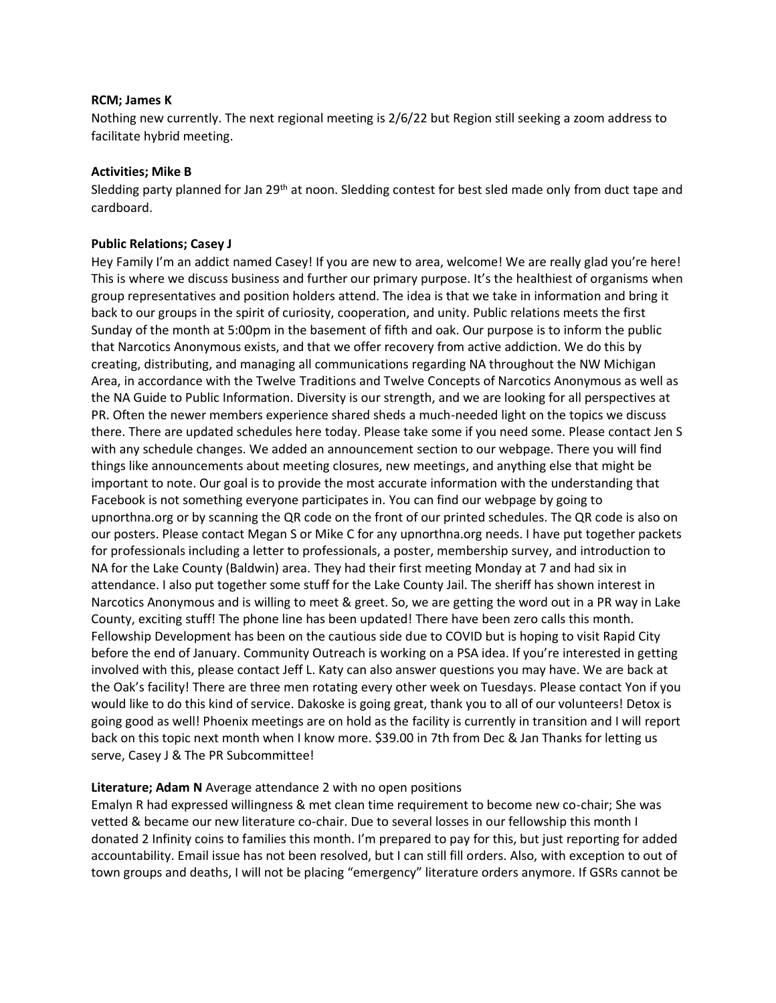#### **RCM; James K**

Nothing new currently. The next regional meeting is 2/6/22 but Region still seeking a zoom address to facilitate hybrid meeting.

#### **Activities; Mike B**

Sledding party planned for Jan 29<sup>th</sup> at noon. Sledding contest for best sled made only from duct tape and cardboard.

#### **Public Relations; Casey J**

Hey Family I'm an addict named Casey! If you are new to area, welcome! We are really glad you're here! This is where we discuss business and further our primary purpose. It's the healthiest of organisms when group representatives and position holders attend. The idea is that we take in information and bring it back to our groups in the spirit of curiosity, cooperation, and unity. Public relations meets the first Sunday of the month at 5:00pm in the basement of fifth and oak. Our purpose is to inform the public that Narcotics Anonymous exists, and that we offer recovery from active addiction. We do this by creating, distributing, and managing all communications regarding NA throughout the NW Michigan Area, in accordance with the Twelve Traditions and Twelve Concepts of Narcotics Anonymous as well as the NA Guide to Public Information. Diversity is our strength, and we are looking for all perspectives at PR. Often the newer members experience shared sheds a much-needed light on the topics we discuss there. There are updated schedules here today. Please take some if you need some. Please contact Jen S with any schedule changes. We added an announcement section to our webpage. There you will find things like announcements about meeting closures, new meetings, and anything else that might be important to note. Our goal is to provide the most accurate information with the understanding that Facebook is not something everyone participates in. You can find our webpage by going to upnorthna.org or by scanning the QR code on the front of our printed schedules. The QR code is also on our posters. Please contact Megan S or Mike C for any upnorthna.org needs. I have put together packets for professionals including a letter to professionals, a poster, membership survey, and introduction to NA for the Lake County (Baldwin) area. They had their first meeting Monday at 7 and had six in attendance. I also put together some stuff for the Lake County Jail. The sheriff has shown interest in Narcotics Anonymous and is willing to meet & greet. So, we are getting the word out in a PR way in Lake County, exciting stuff! The phone line has been updated! There have been zero calls this month. Fellowship Development has been on the cautious side due to COVID but is hoping to visit Rapid City before the end of January. Community Outreach is working on a PSA idea. If you're interested in getting involved with this, please contact Jeff L. Katy can also answer questions you may have. We are back at the Oak's facility! There are three men rotating every other week on Tuesdays. Please contact Yon if you would like to do this kind of service. Dakoske is going great, thank you to all of our volunteers! Detox is going good as well! Phoenix meetings are on hold as the facility is currently in transition and I will report back on this topic next month when I know more. \$39.00 in 7th from Dec & Jan Thanks for letting us serve, Casey J & The PR Subcommittee!

### **Literature; Adam N** Average attendance 2 with no open positions

Emalyn R had expressed willingness & met clean time requirement to become new co-chair; She was vetted & became our new literature co-chair. Due to several losses in our fellowship this month I donated 2 Infinity coins to families this month. I'm prepared to pay for this, but just reporting for added accountability. Email issue has not been resolved, but I can still fill orders. Also, with exception to out of town groups and deaths, I will not be placing "emergency" literature orders anymore. If GSRs cannot be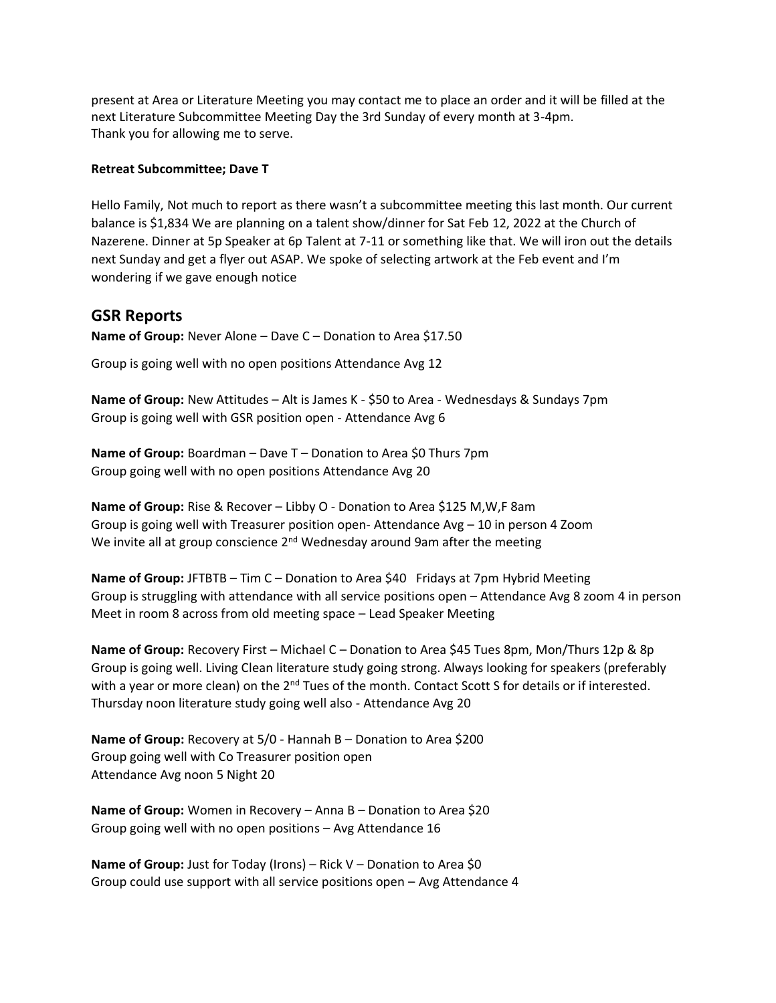present at Area or Literature Meeting you may contact me to place an order and it will be filled at the next Literature Subcommittee Meeting Day the 3rd Sunday of every month at 3-4pm. Thank you for allowing me to serve.

#### **Retreat Subcommittee; Dave T**

Hello Family, Not much to report as there wasn't a subcommittee meeting this last month. Our current balance is \$1,834 We are planning on a talent show/dinner for Sat Feb 12, 2022 at the Church of Nazerene. Dinner at 5p Speaker at 6p Talent at 7-11 or something like that. We will iron out the details next Sunday and get a flyer out ASAP. We spoke of selecting artwork at the Feb event and I'm wondering if we gave enough notice

## **GSR Reports**

**Name of Group:** Never Alone – Dave C – Donation to Area \$17.50

Group is going well with no open positions Attendance Avg 12

**Name of Group:** New Attitudes – Alt is James K - \$50 to Area - Wednesdays & Sundays 7pm Group is going well with GSR position open - Attendance Avg 6

**Name of Group:** Boardman – Dave T – Donation to Area \$0 Thurs 7pm Group going well with no open positions Attendance Avg 20

**Name of Group:** Rise & Recover – Libby O - Donation to Area \$125 M,W,F 8am Group is going well with Treasurer position open- Attendance Avg – 10 in person 4 Zoom We invite all at group conscience  $2^{nd}$  Wednesday around 9am after the meeting

**Name of Group:** JFTBTB – Tim C – Donation to Area \$40 Fridays at 7pm Hybrid Meeting Group is struggling with attendance with all service positions open – Attendance Avg 8 zoom 4 in person Meet in room 8 across from old meeting space – Lead Speaker Meeting

**Name of Group:** Recovery First – Michael C – Donation to Area \$45 Tues 8pm, Mon/Thurs 12p & 8p Group is going well. Living Clean literature study going strong. Always looking for speakers (preferably with a year or more clean) on the  $2^{nd}$  Tues of the month. Contact Scott S for details or if interested. Thursday noon literature study going well also - Attendance Avg 20

**Name of Group:** Recovery at 5/0 - Hannah B – Donation to Area \$200 Group going well with Co Treasurer position open Attendance Avg noon 5 Night 20

**Name of Group:** Women in Recovery – Anna B – Donation to Area \$20 Group going well with no open positions – Avg Attendance 16

**Name of Group:** Just for Today (Irons) – Rick V – Donation to Area \$0 Group could use support with all service positions open – Avg Attendance 4